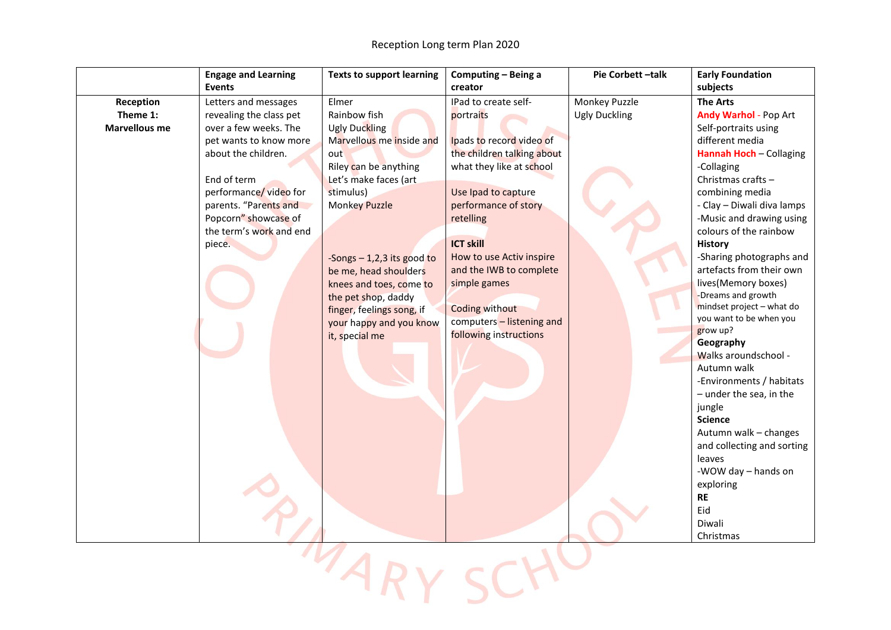|                      | <b>Engage and Learning</b> | <b>Texts to support learning</b> | Computing - Being a        | Pie Corbett-talk     | <b>Early Foundation</b>           |
|----------------------|----------------------------|----------------------------------|----------------------------|----------------------|-----------------------------------|
|                      | <b>Events</b>              |                                  | creator                    |                      | subjects                          |
| Reception            | Letters and messages       | Elmer                            | IPad to create self-       | Monkey Puzzle        | <b>The Arts</b>                   |
| Theme 1:             | revealing the class pet    | Rainbow fish                     | portraits                  | <b>Ugly Duckling</b> | Andy Warhol - Pop Art             |
| <b>Marvellous me</b> | over a few weeks. The      | <b>Ugly Duckling</b>             |                            |                      | Self-portraits using              |
|                      | pet wants to know more     | Marvellous me inside and         | Ipads to record video of   |                      | different media                   |
|                      | about the children.        | out                              | the children talking about |                      | Hannah Hoch - Collaging           |
|                      |                            | Riley can be anything            | what they like at school   |                      | -Collaging                        |
|                      | End of term                | Let's make faces (art            |                            |                      | Christmas crafts-                 |
|                      | performance/video for      | stimulus)                        | Use Ipad to capture        |                      | combining media                   |
|                      | parents. "Parents and      | <b>Monkey Puzzle</b>             | performance of story       |                      | - Clay - Diwali diva lamps        |
|                      | Popcorn" showcase of       |                                  | retelling                  |                      | -Music and drawing using          |
|                      | the term's work and end    |                                  |                            |                      | colours of the rainbow            |
|                      | piece.                     |                                  | <b>ICT skill</b>           |                      | History                           |
|                      |                            | -Songs $-1,2,3$ its good to      | How to use Activ inspire   |                      | -Sharing photographs and          |
|                      |                            | be me, head shoulders            | and the IWB to complete    |                      | artefacts from their own          |
|                      |                            | knees and toes, come to          | simple games               |                      | lives(Memory boxes)               |
|                      |                            | the pet shop, daddy              |                            |                      | -Dreams and growth                |
|                      |                            | finger, feelings song, if        | <b>Coding without</b>      |                      | mindset project - what do         |
|                      |                            | your happy and you know          | computers - listening and  |                      | you want to be when you           |
|                      |                            | it, special me                   | following instructions     |                      | grow up?                          |
|                      |                            |                                  |                            |                      | Geography<br>Walks aroundschool - |
|                      |                            |                                  |                            |                      | Autumn walk                       |
|                      |                            |                                  |                            |                      | -Environments / habitats          |
|                      |                            |                                  |                            |                      | $-$ under the sea, in the         |
|                      |                            |                                  |                            |                      | jungle                            |
|                      |                            |                                  |                            |                      | <b>Science</b>                    |
|                      |                            |                                  |                            |                      | Autumn walk - changes             |
|                      |                            |                                  |                            |                      | and collecting and sorting        |
|                      |                            |                                  |                            |                      | leaves                            |
|                      |                            |                                  |                            |                      | -WOW day - hands on               |
|                      |                            |                                  |                            |                      | exploring                         |
|                      |                            |                                  |                            |                      | <b>RE</b>                         |
|                      |                            |                                  |                            |                      | Eid                               |
|                      |                            |                                  |                            |                      | Diwali                            |
|                      |                            |                                  |                            |                      | Christmas                         |
|                      |                            |                                  |                            |                      |                                   |

MARY SCHO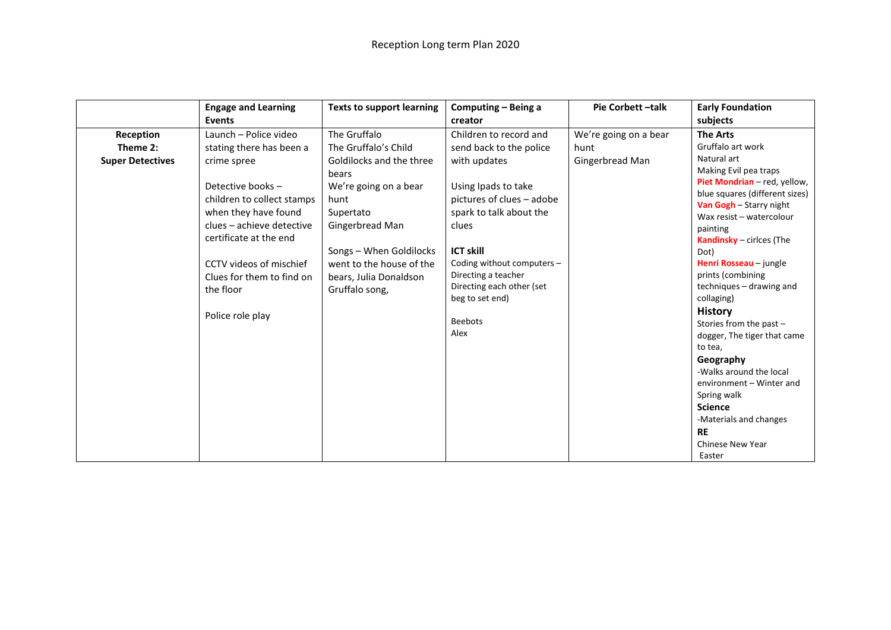|                         | <b>Engage and Learning</b>                                                                                                                                                                                                             | <b>Texts to support learning</b>                                                                                                                                                                      | Computing - Being a                                                                                                                                                                                                                                     | Pie Corbett-talk      | <b>Early Foundation</b>                                                                                                                                                                                                                                                                                                                                                                                                                                                                                                                     |
|-------------------------|----------------------------------------------------------------------------------------------------------------------------------------------------------------------------------------------------------------------------------------|-------------------------------------------------------------------------------------------------------------------------------------------------------------------------------------------------------|---------------------------------------------------------------------------------------------------------------------------------------------------------------------------------------------------------------------------------------------------------|-----------------------|---------------------------------------------------------------------------------------------------------------------------------------------------------------------------------------------------------------------------------------------------------------------------------------------------------------------------------------------------------------------------------------------------------------------------------------------------------------------------------------------------------------------------------------------|
|                         | <b>Events</b>                                                                                                                                                                                                                          |                                                                                                                                                                                                       | creator                                                                                                                                                                                                                                                 |                       | subjects                                                                                                                                                                                                                                                                                                                                                                                                                                                                                                                                    |
| Reception               | Launch - Police video                                                                                                                                                                                                                  | The Gruffalo                                                                                                                                                                                          | Children to record and                                                                                                                                                                                                                                  | We're going on a bear | <b>The Arts</b>                                                                                                                                                                                                                                                                                                                                                                                                                                                                                                                             |
| Theme 2:                | stating there has been a                                                                                                                                                                                                               | The Gruffalo's Child                                                                                                                                                                                  | send back to the police                                                                                                                                                                                                                                 | hunt                  | Gruffalo art work                                                                                                                                                                                                                                                                                                                                                                                                                                                                                                                           |
| <b>Super Detectives</b> | crime spree<br>Detective books -<br>children to collect stamps<br>when they have found<br>clues - achieve detective<br>certificate at the end<br>CCTV videos of mischief<br>Clues for them to find on<br>the floor<br>Police role play | Goldilocks and the three<br>bears<br>We're going on a bear<br>hunt<br>Supertato<br>Gingerbread Man<br>Songs - When Goldilocks<br>went to the house of the<br>bears, Julia Donaldson<br>Gruffalo song, | with updates<br>Using Ipads to take<br>pictures of clues - adobe<br>spark to talk about the<br>clues<br><b>ICT skill</b><br>Coding without computers -<br>Directing a teacher<br>Directing each other (set<br>beg to set end)<br><b>Beebots</b><br>Alex | Gingerbread Man       | Natural art<br>Making Evil pea traps<br>Piet Mondrian - red, yellow,<br>blue squares (different sizes)<br>Van Gogh - Starry night<br>Wax resist - watercolour<br>painting<br>Kandinsky - cirices (The<br>Dot)<br>Henri Rosseau - jungle<br>prints (combining<br>techniques - drawing and<br>collaging)<br><b>History</b><br>Stories from the past $-$<br>dogger, The tiger that came<br>to tea,<br>Geography<br>-Walks around the local<br>environment - Winter and<br>Spring walk<br><b>Science</b><br>-Materials and changes<br><b>RE</b> |
|                         |                                                                                                                                                                                                                                        |                                                                                                                                                                                                       |                                                                                                                                                                                                                                                         |                       | <b>Chinese New Year</b><br>Easter                                                                                                                                                                                                                                                                                                                                                                                                                                                                                                           |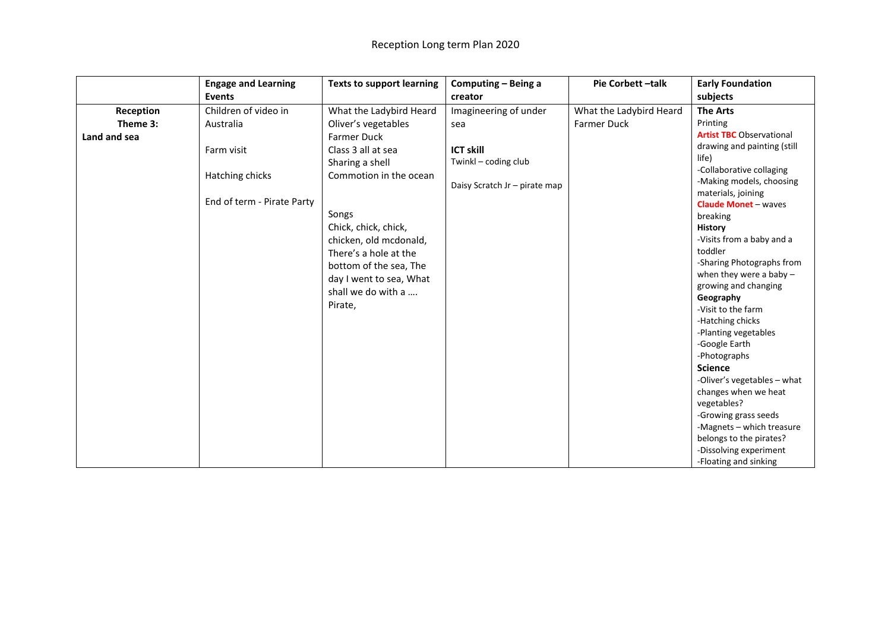|              | <b>Engage and Learning</b> | <b>Texts to support learning</b> | Computing - Being a           | Pie Corbett-talk        | <b>Early Foundation</b>                 |
|--------------|----------------------------|----------------------------------|-------------------------------|-------------------------|-----------------------------------------|
|              | Events                     |                                  | creator                       |                         | subjects                                |
| Reception    | Children of video in       | What the Ladybird Heard          | Imagineering of under         | What the Ladybird Heard | <b>The Arts</b>                         |
| Theme 3:     | Australia                  | Oliver's vegetables              | sea                           | Farmer Duck             | Printing                                |
| Land and sea |                            | <b>Farmer Duck</b>               |                               |                         | <b>Artist TBC</b> Observational         |
|              | Farm visit                 | Class 3 all at sea               | <b>ICT skill</b>              |                         | drawing and painting (still             |
|              |                            | Sharing a shell                  | Twinkl - coding club          |                         | life)                                   |
|              | Hatching chicks            | Commotion in the ocean           |                               |                         | -Collaborative collaging                |
|              |                            |                                  | Daisy Scratch Jr - pirate map |                         | -Making models, choosing                |
|              | End of term - Pirate Party |                                  |                               |                         | materials, joining                      |
|              |                            | Songs                            |                               |                         | <b>Claude Monet - waves</b><br>breaking |
|              |                            | Chick, chick, chick,             |                               |                         | History                                 |
|              |                            | chicken, old mcdonald,           |                               |                         | -Visits from a baby and a               |
|              |                            | There's a hole at the            |                               |                         | toddler                                 |
|              |                            | bottom of the sea, The           |                               |                         | -Sharing Photographs from               |
|              |                            |                                  |                               |                         | when they were a baby $-$               |
|              |                            | day I went to sea, What          |                               |                         | growing and changing                    |
|              |                            | shall we do with a               |                               |                         | Geography                               |
|              |                            | Pirate,                          |                               |                         | -Visit to the farm                      |
|              |                            |                                  |                               |                         | -Hatching chicks                        |
|              |                            |                                  |                               |                         | -Planting vegetables                    |
|              |                            |                                  |                               |                         | -Google Earth                           |
|              |                            |                                  |                               |                         | -Photographs                            |
|              |                            |                                  |                               |                         | <b>Science</b>                          |
|              |                            |                                  |                               |                         | -Oliver's vegetables - what             |
|              |                            |                                  |                               |                         | changes when we heat                    |
|              |                            |                                  |                               |                         | vegetables?                             |
|              |                            |                                  |                               |                         | -Growing grass seeds                    |
|              |                            |                                  |                               |                         | -Magnets - which treasure               |
|              |                            |                                  |                               |                         | belongs to the pirates?                 |
|              |                            |                                  |                               |                         | -Dissolving experiment                  |
|              |                            |                                  |                               |                         | -Floating and sinking                   |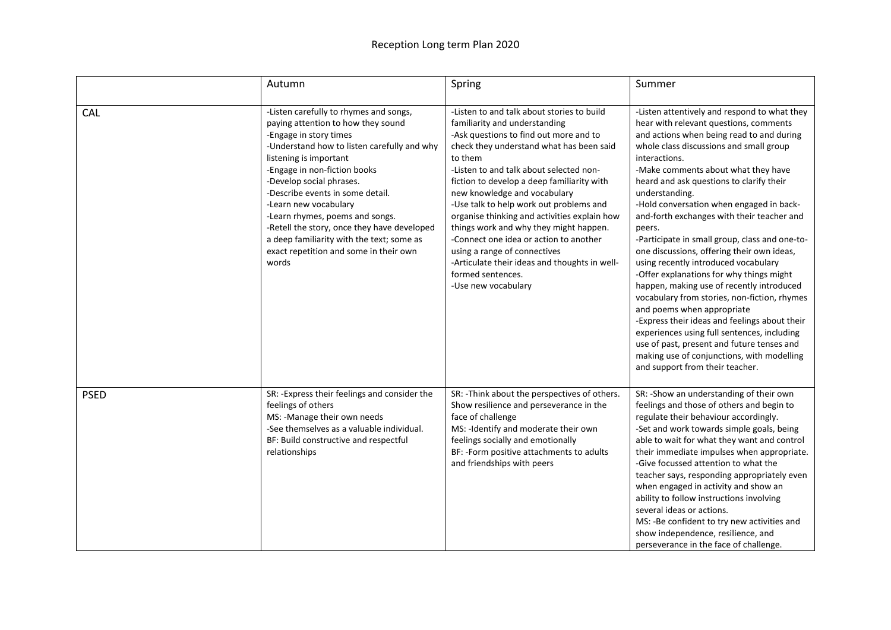## Reception Long term Plan 2020

|             | Autumn                                                                                                                                                                                                                                                                                                                                                                                                                                                                                     | Spring                                                                                                                                                                                                                                                                                                                                                                                                                                                                                                                                                                                                            | Summer                                                                                                                                                                                                                                                                                                                                                                                                                                                                                                                                                                                                                                                                                                                                                                                                                                                                                                                                                 |
|-------------|--------------------------------------------------------------------------------------------------------------------------------------------------------------------------------------------------------------------------------------------------------------------------------------------------------------------------------------------------------------------------------------------------------------------------------------------------------------------------------------------|-------------------------------------------------------------------------------------------------------------------------------------------------------------------------------------------------------------------------------------------------------------------------------------------------------------------------------------------------------------------------------------------------------------------------------------------------------------------------------------------------------------------------------------------------------------------------------------------------------------------|--------------------------------------------------------------------------------------------------------------------------------------------------------------------------------------------------------------------------------------------------------------------------------------------------------------------------------------------------------------------------------------------------------------------------------------------------------------------------------------------------------------------------------------------------------------------------------------------------------------------------------------------------------------------------------------------------------------------------------------------------------------------------------------------------------------------------------------------------------------------------------------------------------------------------------------------------------|
| <b>CAL</b>  | -Listen carefully to rhymes and songs,<br>paying attention to how they sound<br>-Engage in story times<br>-Understand how to listen carefully and why<br>listening is important<br>-Engage in non-fiction books<br>-Develop social phrases.<br>-Describe events in some detail.<br>-Learn new vocabulary<br>-Learn rhymes, poems and songs.<br>-Retell the story, once they have developed<br>a deep familiarity with the text; some as<br>exact repetition and some in their own<br>words | -Listen to and talk about stories to build<br>familiarity and understanding<br>-Ask questions to find out more and to<br>check they understand what has been said<br>to them<br>-Listen to and talk about selected non-<br>fiction to develop a deep familiarity with<br>new knowledge and vocabulary<br>-Use talk to help work out problems and<br>organise thinking and activities explain how<br>things work and why they might happen.<br>-Connect one idea or action to another<br>using a range of connectives<br>-Articulate their ideas and thoughts in well-<br>formed sentences.<br>-Use new vocabulary | -Listen attentively and respond to what they<br>hear with relevant questions, comments<br>and actions when being read to and during<br>whole class discussions and small group<br>interactions.<br>-Make comments about what they have<br>heard and ask questions to clarify their<br>understanding.<br>-Hold conversation when engaged in back-<br>and-forth exchanges with their teacher and<br>peers.<br>-Participate in small group, class and one-to-<br>one discussions, offering their own ideas,<br>using recently introduced vocabulary<br>-Offer explanations for why things might<br>happen, making use of recently introduced<br>vocabulary from stories, non-fiction, rhymes<br>and poems when appropriate<br>-Express their ideas and feelings about their<br>experiences using full sentences, including<br>use of past, present and future tenses and<br>making use of conjunctions, with modelling<br>and support from their teacher. |
| <b>PSED</b> | SR: -Express their feelings and consider the<br>feelings of others<br>MS: -Manage their own needs<br>-See themselves as a valuable individual.<br>BF: Build constructive and respectful<br>relationships                                                                                                                                                                                                                                                                                   | SR: - Think about the perspectives of others.<br>Show resilience and perseverance in the<br>face of challenge<br>MS: - Identify and moderate their own<br>feelings socially and emotionally<br>BF: -Form positive attachments to adults<br>and friendships with peers                                                                                                                                                                                                                                                                                                                                             | SR: -Show an understanding of their own<br>feelings and those of others and begin to<br>regulate their behaviour accordingly.<br>-Set and work towards simple goals, being<br>able to wait for what they want and control<br>their immediate impulses when appropriate.<br>-Give focussed attention to what the<br>teacher says, responding appropriately even<br>when engaged in activity and show an<br>ability to follow instructions involving<br>several ideas or actions.<br>MS: -Be confident to try new activities and<br>show independence, resilience, and<br>perseverance in the face of challenge.                                                                                                                                                                                                                                                                                                                                         |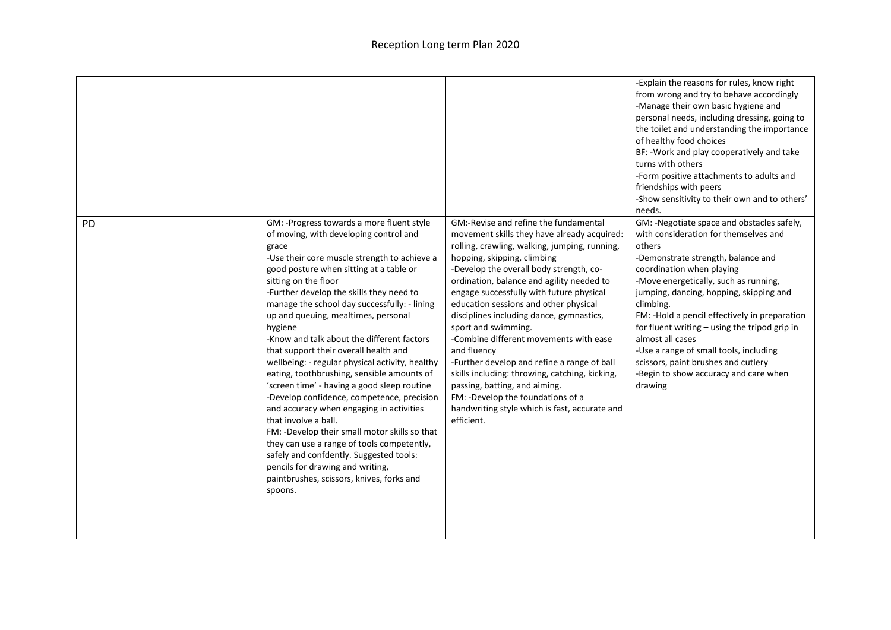|    |                                                                                                                                                                                                                                                                                                                                                                                                                                                                                                                                                                                                                                                                                                                                                                                                                                                                                                                                                              |                                                                                                                                                                                                                                                                                                                                                                                                                                                                                                                                                                                                                                                                                                                     | -Explain the reasons for rules, know right<br>from wrong and try to behave accordingly<br>-Manage their own basic hygiene and<br>personal needs, including dressing, going to<br>the toilet and understanding the importance<br>of healthy food choices<br>BF: - Work and play cooperatively and take<br>turns with others<br>-Form positive attachments to adults and<br>friendships with peers<br>-Show sensitivity to their own and to others'<br>needs.                                                                  |
|----|--------------------------------------------------------------------------------------------------------------------------------------------------------------------------------------------------------------------------------------------------------------------------------------------------------------------------------------------------------------------------------------------------------------------------------------------------------------------------------------------------------------------------------------------------------------------------------------------------------------------------------------------------------------------------------------------------------------------------------------------------------------------------------------------------------------------------------------------------------------------------------------------------------------------------------------------------------------|---------------------------------------------------------------------------------------------------------------------------------------------------------------------------------------------------------------------------------------------------------------------------------------------------------------------------------------------------------------------------------------------------------------------------------------------------------------------------------------------------------------------------------------------------------------------------------------------------------------------------------------------------------------------------------------------------------------------|------------------------------------------------------------------------------------------------------------------------------------------------------------------------------------------------------------------------------------------------------------------------------------------------------------------------------------------------------------------------------------------------------------------------------------------------------------------------------------------------------------------------------|
| PD | GM: -Progress towards a more fluent style<br>of moving, with developing control and<br>grace<br>-Use their core muscle strength to achieve a<br>good posture when sitting at a table or<br>sitting on the floor<br>-Further develop the skills they need to<br>manage the school day successfully: - lining<br>up and queuing, mealtimes, personal<br>hygiene<br>-Know and talk about the different factors<br>that support their overall health and<br>wellbeing: - regular physical activity, healthy<br>eating, toothbrushing, sensible amounts of<br>'screen time' - having a good sleep routine<br>-Develop confidence, competence, precision<br>and accuracy when engaging in activities<br>that involve a ball.<br>FM: -Develop their small motor skills so that<br>they can use a range of tools competently,<br>safely and confdently. Suggested tools:<br>pencils for drawing and writing,<br>paintbrushes, scissors, knives, forks and<br>spoons. | GM:-Revise and refine the fundamental<br>movement skills they have already acquired:<br>rolling, crawling, walking, jumping, running,<br>hopping, skipping, climbing<br>-Develop the overall body strength, co-<br>ordination, balance and agility needed to<br>engage successfully with future physical<br>education sessions and other physical<br>disciplines including dance, gymnastics,<br>sport and swimming.<br>-Combine different movements with ease<br>and fluency<br>-Further develop and refine a range of ball<br>skills including: throwing, catching, kicking,<br>passing, batting, and aiming.<br>FM: -Develop the foundations of a<br>handwriting style which is fast, accurate and<br>efficient. | GM: -Negotiate space and obstacles safely,<br>with consideration for themselves and<br>others<br>-Demonstrate strength, balance and<br>coordination when playing<br>-Move energetically, such as running,<br>jumping, dancing, hopping, skipping and<br>climbing.<br>FM: -Hold a pencil effectively in preparation<br>for fluent writing - using the tripod grip in<br>almost all cases<br>-Use a range of small tools, including<br>scissors, paint brushes and cutlery<br>-Begin to show accuracy and care when<br>drawing |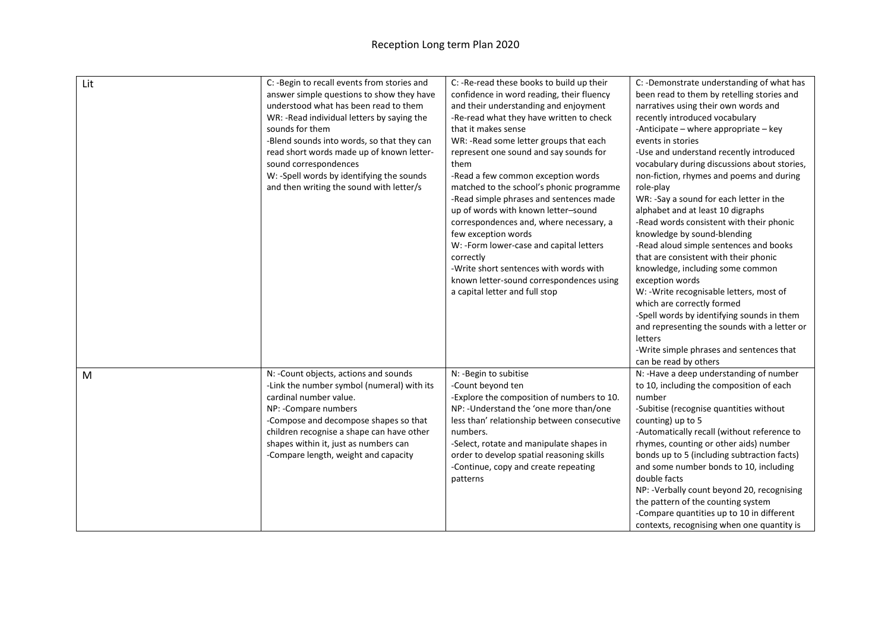| Lit | C: -Begin to recall events from stories and<br>answer simple questions to show they have<br>understood what has been read to them<br>WR: -Read individual letters by saying the<br>sounds for them<br>-Blend sounds into words, so that they can<br>read short words made up of known letter-<br>sound correspondences<br>W: -Spell words by identifying the sounds<br>and then writing the sound with letter/s | C: -Re-read these books to build up their<br>confidence in word reading, their fluency<br>and their understanding and enjoyment<br>-Re-read what they have written to check<br>that it makes sense<br>WR: -Read some letter groups that each<br>represent one sound and say sounds for<br>them<br>-Read a few common exception words<br>matched to the school's phonic programme<br>-Read simple phrases and sentences made<br>up of words with known letter-sound<br>correspondences and, where necessary, a<br>few exception words<br>W: -Form lower-case and capital letters<br>correctly<br>-Write short sentences with words with<br>known letter-sound correspondences using<br>a capital letter and full stop | C: -Demonstrate understanding of what has<br>been read to them by retelling stories and<br>narratives using their own words and<br>recently introduced vocabulary<br>-Anticipate – where appropriate – key<br>events in stories<br>-Use and understand recently introduced<br>vocabulary during discussions about stories,<br>non-fiction, rhymes and poems and during<br>role-play<br>WR: -Say a sound for each letter in the<br>alphabet and at least 10 digraphs<br>-Read words consistent with their phonic<br>knowledge by sound-blending<br>-Read aloud simple sentences and books<br>that are consistent with their phonic<br>knowledge, including some common<br>exception words<br>W: -Write recognisable letters, most of<br>which are correctly formed<br>-Spell words by identifying sounds in them<br>and representing the sounds with a letter or<br>letters<br>-Write simple phrases and sentences that<br>can be read by others |
|-----|-----------------------------------------------------------------------------------------------------------------------------------------------------------------------------------------------------------------------------------------------------------------------------------------------------------------------------------------------------------------------------------------------------------------|----------------------------------------------------------------------------------------------------------------------------------------------------------------------------------------------------------------------------------------------------------------------------------------------------------------------------------------------------------------------------------------------------------------------------------------------------------------------------------------------------------------------------------------------------------------------------------------------------------------------------------------------------------------------------------------------------------------------|-------------------------------------------------------------------------------------------------------------------------------------------------------------------------------------------------------------------------------------------------------------------------------------------------------------------------------------------------------------------------------------------------------------------------------------------------------------------------------------------------------------------------------------------------------------------------------------------------------------------------------------------------------------------------------------------------------------------------------------------------------------------------------------------------------------------------------------------------------------------------------------------------------------------------------------------------|
| M   | N: - Count objects, actions and sounds<br>-Link the number symbol (numeral) with its<br>cardinal number value.<br>NP: - Compare numbers<br>-Compose and decompose shapes so that<br>children recognise a shape can have other<br>shapes within it, just as numbers can<br>-Compare length, weight and capacity                                                                                                  | N: -Begin to subitise<br>-Count beyond ten<br>-Explore the composition of numbers to 10.<br>NP: - Understand the 'one more than/one<br>less than' relationship between consecutive<br>numbers.<br>-Select, rotate and manipulate shapes in<br>order to develop spatial reasoning skills<br>-Continue, copy and create repeating<br>patterns                                                                                                                                                                                                                                                                                                                                                                          | N: - Have a deep understanding of number<br>to 10, including the composition of each<br>number<br>-Subitise (recognise quantities without<br>counting) up to 5<br>-Automatically recall (without reference to<br>rhymes, counting or other aids) number<br>bonds up to 5 (including subtraction facts)<br>and some number bonds to 10, including<br>double facts<br>NP: - Verbally count beyond 20, recognising<br>the pattern of the counting system<br>-Compare quantities up to 10 in different<br>contexts, recognising when one quantity is                                                                                                                                                                                                                                                                                                                                                                                                |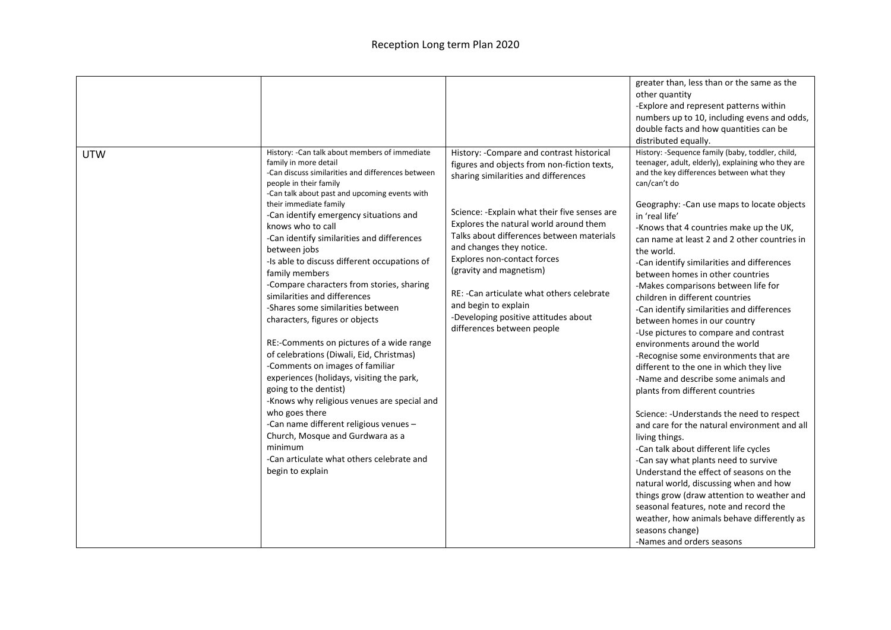|            |                                                                                                                                                                                                                                                                                                                                                                                                                                                                                                                                                                                                                                                                                                                                                                                                                                                                                                                                                                                                                  |                                                                                                                                                                                                                                                                                                                                                                                                                                                                                                             | greater than, less than or the same as the<br>other quantity<br>-Explore and represent patterns within<br>numbers up to 10, including evens and odds,<br>double facts and how quantities can be<br>distributed equally.                                                                                                                                                                                                                                                                                                                                                                                                                                                                                                                                                                                                                                                                                                                                                                                                                                                                                                                                                                                                                                                                                     |
|------------|------------------------------------------------------------------------------------------------------------------------------------------------------------------------------------------------------------------------------------------------------------------------------------------------------------------------------------------------------------------------------------------------------------------------------------------------------------------------------------------------------------------------------------------------------------------------------------------------------------------------------------------------------------------------------------------------------------------------------------------------------------------------------------------------------------------------------------------------------------------------------------------------------------------------------------------------------------------------------------------------------------------|-------------------------------------------------------------------------------------------------------------------------------------------------------------------------------------------------------------------------------------------------------------------------------------------------------------------------------------------------------------------------------------------------------------------------------------------------------------------------------------------------------------|-------------------------------------------------------------------------------------------------------------------------------------------------------------------------------------------------------------------------------------------------------------------------------------------------------------------------------------------------------------------------------------------------------------------------------------------------------------------------------------------------------------------------------------------------------------------------------------------------------------------------------------------------------------------------------------------------------------------------------------------------------------------------------------------------------------------------------------------------------------------------------------------------------------------------------------------------------------------------------------------------------------------------------------------------------------------------------------------------------------------------------------------------------------------------------------------------------------------------------------------------------------------------------------------------------------|
| <b>UTW</b> | History: - Can talk about members of immediate<br>family in more detail<br>-Can discuss similarities and differences between<br>people in their family<br>-Can talk about past and upcoming events with<br>their immediate family<br>-Can identify emergency situations and<br>knows who to call<br>-Can identify similarities and differences<br>between jobs<br>-Is able to discuss different occupations of<br>family members<br>-Compare characters from stories, sharing<br>similarities and differences<br>-Shares some similarities between<br>characters, figures or objects<br>RE:-Comments on pictures of a wide range<br>of celebrations (Diwali, Eid, Christmas)<br>-Comments on images of familiar<br>experiences (holidays, visiting the park,<br>going to the dentist)<br>-Knows why religious venues are special and<br>who goes there<br>-Can name different religious venues -<br>Church, Mosque and Gurdwara as a<br>minimum<br>-Can articulate what others celebrate and<br>begin to explain | History: - Compare and contrast historical<br>figures and objects from non-fiction texts,<br>sharing similarities and differences<br>Science: - Explain what their five senses are<br>Explores the natural world around them<br>Talks about differences between materials<br>and changes they notice.<br>Explores non-contact forces<br>(gravity and magnetism)<br>RE: - Can articulate what others celebrate<br>and begin to explain<br>-Developing positive attitudes about<br>differences between people | History: -Sequence family (baby, toddler, child,<br>teenager, adult, elderly), explaining who they are<br>and the key differences between what they<br>can/can't do<br>Geography: - Can use maps to locate objects<br>in 'real life'<br>-Knows that 4 countries make up the UK,<br>can name at least 2 and 2 other countries in<br>the world.<br>-Can identify similarities and differences<br>between homes in other countries<br>-Makes comparisons between life for<br>children in different countries<br>-Can identify similarities and differences<br>between homes in our country<br>-Use pictures to compare and contrast<br>environments around the world<br>-Recognise some environments that are<br>different to the one in which they live<br>-Name and describe some animals and<br>plants from different countries<br>Science: - Understands the need to respect<br>and care for the natural environment and all<br>living things.<br>-Can talk about different life cycles<br>-Can say what plants need to survive<br>Understand the effect of seasons on the<br>natural world, discussing when and how<br>things grow (draw attention to weather and<br>seasonal features, note and record the<br>weather, how animals behave differently as<br>seasons change)<br>-Names and orders seasons |